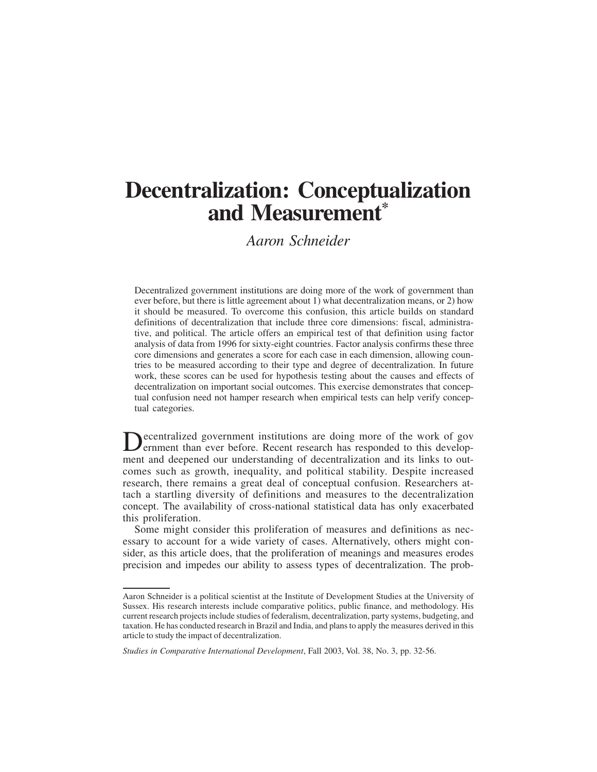# **Decentralization: Conceptualization and Measurement\***

*Aaron Schneider*

Decentralized government institutions are doing more of the work of government than ever before, but there is little agreement about 1) what decentralization means, or 2) how it should be measured. To overcome this confusion, this article builds on standard definitions of decentralization that include three core dimensions: fiscal, administrative, and political. The article offers an empirical test of that definition using factor analysis of data from 1996 for sixty-eight countries. Factor analysis confirms these three core dimensions and generates a score for each case in each dimension, allowing countries to be measured according to their type and degree of decentralization. In future work, these scores can be used for hypothesis testing about the causes and effects of decentralization on important social outcomes. This exercise demonstrates that conceptual confusion need not hamper research when empirical tests can help verify conceptual categories.

Decentralized government institutions are doing more of the work of government than ever before. Recent research has responded to this development and deepened our understanding of decentralization and its links to outcomes such as growth, inequality, and political stability. Despite increased research, there remains a great deal of conceptual confusion. Researchers attach a startling diversity of definitions and measures to the decentralization concept. The availability of cross-national statistical data has only exacerbated this proliferation.

Some might consider this proliferation of measures and definitions as necessary to account for a wide variety of cases. Alternatively, others might consider, as this article does, that the proliferation of meanings and measures erodes precision and impedes our ability to assess types of decentralization. The prob-

Aaron Schneider is a political scientist at the Institute of Development Studies at the University of Sussex. His research interests include comparative politics, public finance, and methodology. His current research projects include studies of federalism, decentralization, party systems, budgeting, and taxation. He has conducted research in Brazil and India, and plans to apply the measures derived in this article to study the impact of decentralization.

*Studies in Comparative International Development*, Fall 2003, Vol. 38, No. 3, pp. 32-56.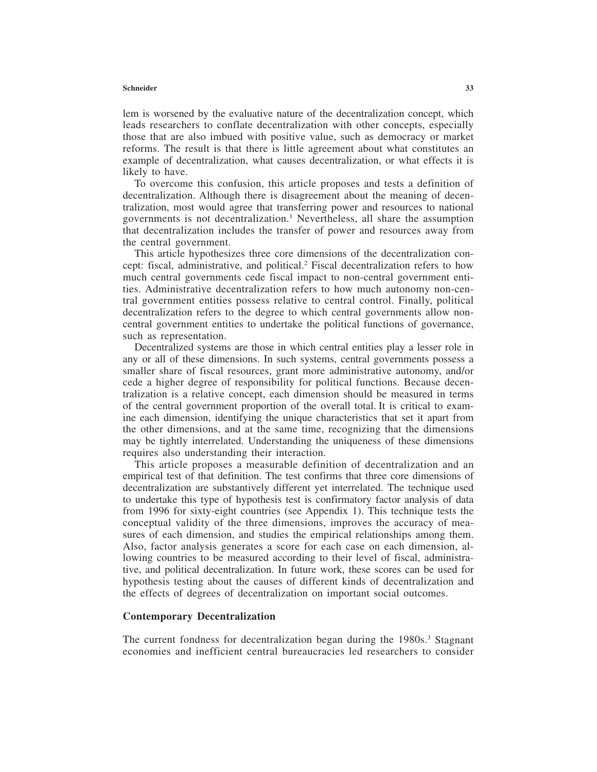lem is worsened by the evaluative nature of the decentralization concept, which leads researchers to conflate decentralization with other concepts, especially those that are also imbued with positive value, such as democracy or market reforms. The result is that there is little agreement about what constitutes an example of decentralization, what causes decentralization, or what effects it is likely to have.

To overcome this confusion, this article proposes and tests a definition of decentralization. Although there is disagreement about the meaning of decentralization, most would agree that transferring power and resources to national governments is not decentralization.<sup>1</sup> Nevertheless, all share the assumption that decentralization includes the transfer of power and resources away from the central government.

This article hypothesizes three core dimensions of the decentralization concept: fiscal, administrative, and political.<sup>2</sup> Fiscal decentralization refers to how much central governments cede fiscal impact to non-central government entities. Administrative decentralization refers to how much autonomy non-cen-,tral government entities possess relative to central control. Finally, political decentralization refers to the degree to which central governments allow noncentral government entities to undertake the political functions of governance, such as representation.

Decentralized systems are those in which central entities play a lesser role in any or all of these dimensions. In such systems, central governments possess a smaller share of fiscal resources, grant more administrative autonomy, and/or cede a higher degree of responsibility for political functions. Because decentralization is a relative concept, each dimension should be measured in terms of the central government proportion of the overall total. It is critical to examine each dimension, identifying the unique characteristics that set it apart from the other dimensions, and at the same time, recognizing that the dimensions may be tightly interrelated. Understanding the uniqueness of these dimensions requires also understanding their interaction.

This article proposes a measurable definition of decentralization and an empirical test of that definition. The test confirms that three core dimensions of decentralization are substantively different yet interrelated. The technique used to undertake this type of hypothesis test is confirmatory factor analysis of data from 1996 for sixty-eight countries (see Appendix 1). This technique tests the conceptual validity of the three dimensions, improves the accuracy of measures of each dimension, and studies the empirical relationships among them. Also, factor analysis generates a score for each case on each dimension, allowing countries to be measured according to their level of fiscal, administrative, and political decentralization. In future work, these scores can be used for hypothesis testing about the causes of different kinds of decentralization and the effects of degrees of decentralization on important social outcomes.

## **Contemporary Decentralization**

The current fondness for decentralization began during the 1980s.<sup>3</sup> Stagnant economies and inefficient central bureaucracies led researchers to consider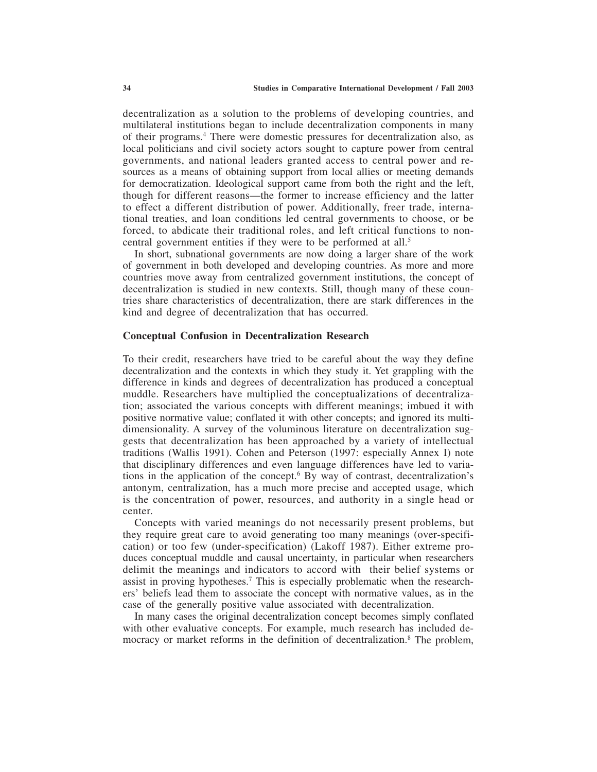decentralization as a solution to the problems of developing countries, and multilateral institutions began to include decentralization components in many of their programs.<sup>4</sup> There were domestic pressures for decentralization also, as local politicians and civil society actors sought to capture power from central governments, and national leaders granted access to central power and resources as a means of obtaining support from local allies or meeting demands for democratization. Ideological support came from both the right and the left, though for different reasons—the former to increase efficiency and the latter to effect a different distribution of power. Additionally, freer trade, international treaties, and loan conditions led central governments to choose, or be forced, to abdicate their traditional roles, and left critical functions to noncentral government entities if they were to be performed at all.<sup>5</sup>

In short, subnational governments are now doing a larger share of the work of government in both developed and developing countries. As more and more countries move away from centralized government institutions, the concept of decentralization is studied in new contexts. Still, though many of these countries share characteristics of decentralization, there are stark differences in the kind and degree of decentralization that has occurred.

## **Conceptual Confusion in Decentralization Research**

To their credit, researchers have tried to be careful about the way they define decentralization and the contexts in which they study it. Yet grappling with the difference in kinds and degrees of decentralization has produced a conceptual muddle. Researchers have multiplied the conceptualizations of decentralization; associated the various concepts with different meanings; imbued it with positive normative value; conflated it with other concepts; and ignored its multidimensionality. A survey of the voluminous literature on decentralization suggests that decentralization has been approached by a variety of intellectual traditions (Wallis 1991). Cohen and Peterson (1997: especially Annex I) note that disciplinary differences and even language differences have led to variations in the application of the concept.6 By way of contrast, decentralization's antonym, centralization, has a much more precise and accepted usage, which is the concentration of power, resources, and authority in a single head or center.

Concepts with varied meanings do not necessarily present problems, but they require great care to avoid generating too many meanings (over-specification) or too few (under-specification) (Lakoff 1987). Either extreme produces conceptual muddle and causal uncertainty, in particular when researchers delimit the meanings and indicators to accord with their belief systems or assist in proving hypotheses.<sup>7</sup> This is especially problematic when the researchers' beliefs lead them to associate the concept with normative values, as in the case of the generally positive value associated with decentralization.

In many cases the original decentralization concept becomes simply conflated with other evaluative concepts. For example, much research has included democracy or market reforms in the definition of decentralization.<sup>8</sup> The problem,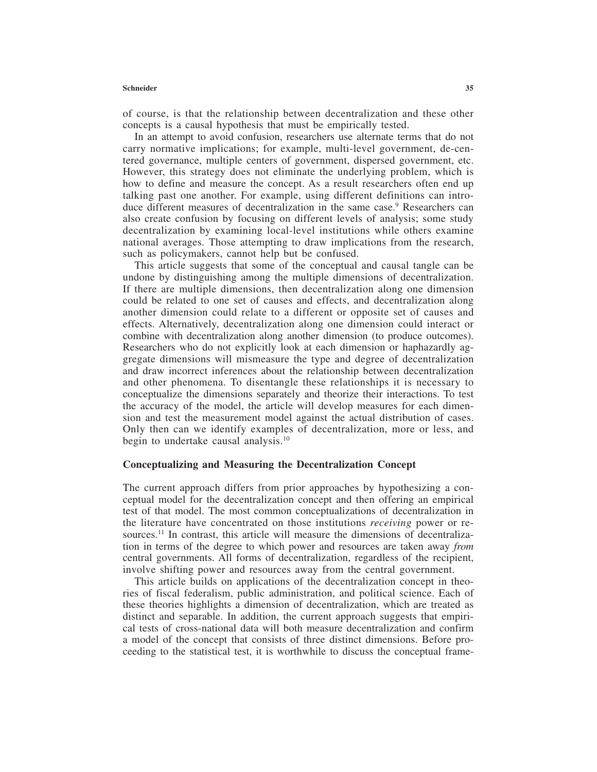of course, is that the relationship between decentralization and these other concepts is a causal hypothesis that must be empirically tested.

In an attempt to avoid confusion, researchers use alternate terms that do not carry normative implications; for example, multi-level government, de-centered governance, multiple centers of government, dispersed government, etc. However, this strategy does not eliminate the underlying problem, which is how to define and measure the concept. As a result researchers often end up talking past one another. For example, using different definitions can introduce different measures of decentralization in the same case.<sup>9</sup> Researchers can also create confusion by focusing on different levels of analysis; some study decentralization by examining local-level institutions while others examine national averages. Those attempting to draw implications from the research, such as policymakers, cannot help but be confused.

This article suggests that some of the conceptual and causal tangle can be undone by distinguishing among the multiple dimensions of decentralization. If there are multiple dimensions, then decentralization along one dimension could be related to one set of causes and effects, and decentralization along another dimension could relate to a different or opposite set of causes and effects. Alternatively, decentralization along one dimension could interact or combine with decentralization along another dimension (to produce outcomes). Researchers who do not explicitly look at each dimension or haphazardly aggregate dimensions will mismeasure the type and degree of decentralization and draw incorrect inferences about the relationship between decentralization and other phenomena. To disentangle these relationships it is necessary to conceptualize the dimensions separately and theorize their interactions. To test the accuracy of the model, the article will develop measures for each dimension and test the measurement model against the actual distribution of cases. Only then can we identify examples of decentralization, more or less, and begin to undertake causal analysis.<sup>10</sup>

## **Conceptualizing and Measuring the Decentralization Concept**

The current approach differs from prior approaches by hypothesizing a conceptual model for the decentralization concept and then offering an empirical test of that model. The most common conceptualizations of decentralization in the literature have concentrated on those institutions *receiving* power or resources.<sup>11</sup> In contrast, this article will measure the dimensions of decentralization in terms of the degree to which power and resources are taken away *from* central governments. All forms of decentralization, regardless of the recipient, involve shifting power and resources away from the central government.

This article builds on applications of the decentralization concept in theories of fiscal federalism, public administration, and political science. Each of these theories highlights a dimension of decentralization, which are treated as distinct and separable. In addition, the current approach suggests that empirical tests of cross-national data will both measure decentralization and confirm a model of the concept that consists of three distinct dimensions. Before proceeding to the statistical test, it is worthwhile to discuss the conceptual frame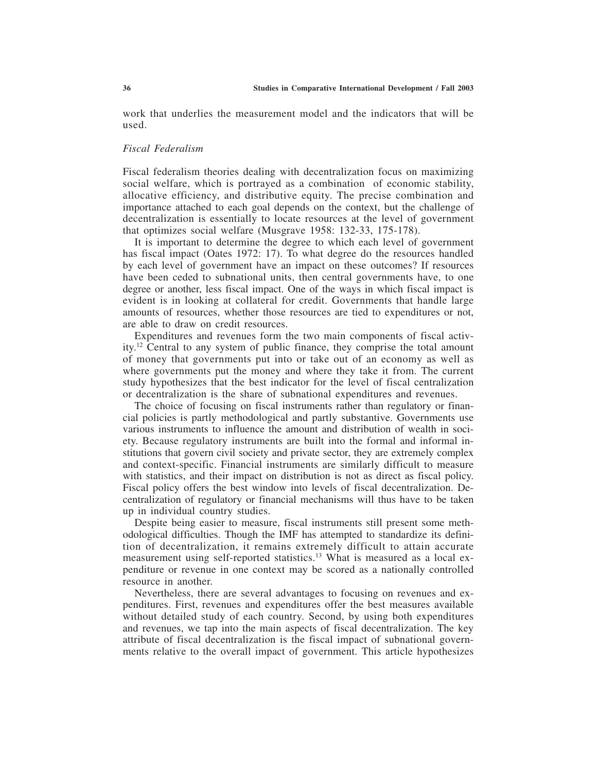work that underlies the measurement model and the indicators that will be used.

## *Fiscal Federalism*

Fiscal federalism theories dealing with decentralization focus on maximizing social welfare, which is portrayed as a combination of economic stability, allocative efficiency, and distributive equity. The precise combination and importance attached to each goal depends on the context, but the challenge of decentralization is essentially to locate resources at the level of government that optimizes social welfare (Musgrave 1958: 132-33, 175-178).

It is important to determine the degree to which each level of government has fiscal impact (Oates 1972: 17). To what degree do the resources handled by each level of government have an impact on these outcomes? If resources have been ceded to subnational units, then central governments have, to one degree or another, less fiscal impact. One of the ways in which fiscal impact is evident is in looking at collateral for credit. Governments that handle large amounts of resources, whether those resources are tied to expenditures or not, are able to draw on credit resources.

Expenditures and revenues form the two main components of fiscal activity.12 Central to any system of public finance, they comprise the total amount of money that governments put into or take out of an economy as well as where governments put the money and where they take it from. The current study hypothesizes that the best indicator for the level of fiscal centralization or decentralization is the share of subnational expenditures and revenues.

The choice of focusing on fiscal instruments rather than regulatory or financial policies is partly methodological and partly substantive. Governments use various instruments to influence the amount and distribution of wealth in society. Because regulatory instruments are built into the formal and informal institutions that govern civil society and private sector, they are extremely complex and context-specific. Financial instruments are similarly difficult to measure with statistics, and their impact on distribution is not as direct as fiscal policy. Fiscal policy offers the best window into levels of fiscal decentralization. Decentralization of regulatory or financial mechanisms will thus have to be taken up in individual country studies.

Despite being easier to measure, fiscal instruments still present some methodological difficulties. Though the IMF has attempted to standardize its definition of decentralization, it remains extremely difficult to attain accurate measurement using self-reported statistics.<sup>13</sup> What is measured as a local expenditure or revenue in one context may be scored as a nationally controlled resource in another.

Nevertheless, there are several advantages to focusing on revenues and expenditures. First, revenues and expenditures offer the best measures available without detailed study of each country. Second, by using both expenditures and revenues, we tap into the main aspects of fiscal decentralization. The key attribute of fiscal decentralization is the fiscal impact of subnational governments relative to the overall impact of government. This article hypothesizes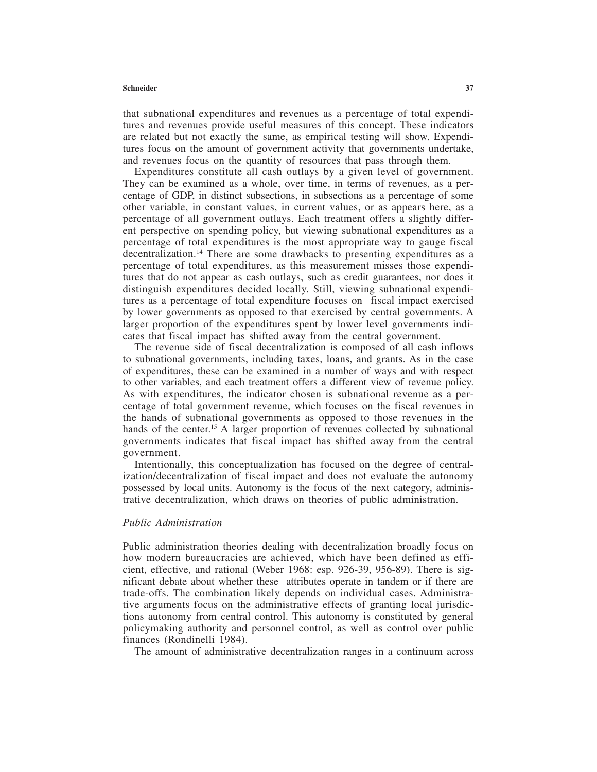that subnational expenditures and revenues as a percentage of total expenditures and revenues provide useful measures of this concept. These indicators are related but not exactly the same, as empirical testing will show. Expenditures focus on the amount of government activity that governments undertake, and revenues focus on the quantity of resources that pass through them.

Expenditures constitute all cash outlays by a given level of government. They can be examined as a whole, over time, in terms of revenues, as a percentage of GDP, in distinct subsections, in subsections as a percentage of some other variable, in constant values, in current values, or as appears here, as a percentage of all government outlays. Each treatment offers a slightly different perspective on spending policy, but viewing subnational expenditures as a percentage of total expenditures is the most appropriate way to gauge fiscal decentralization.<sup>14</sup> There are some drawbacks to presenting expenditures as a percentage of total expenditures, as this measurement misses those expenditures that do not appear as cash outlays, such as credit guarantees, nor does it distinguish expenditures decided locally. Still, viewing subnational expenditures as a percentage of total expenditure focuses on fiscal impact exercised by lower governments as opposed to that exercised by central governments. A larger proportion of the expenditures spent by lower level governments indicates that fiscal impact has shifted away from the central government.

The revenue side of fiscal decentralization is composed of all cash inflows to subnational governments, including taxes, loans, and grants. As in the case of expenditures, these can be examined in a number of ways and with respect to other variables, and each treatment offers a different view of revenue policy. As with expenditures, the indicator chosen is subnational revenue as a percentage of total government revenue, which focuses on the fiscal revenues in the hands of subnational governments as opposed to those revenues in the hands of the center.<sup>15</sup> A larger proportion of revenues collected by subnational governments indicates that fiscal impact has shifted away from the central government.

Intentionally, this conceptualization has focused on the degree of centralization/decentralization of fiscal impact and does not evaluate the autonomy possessed by local units. Autonomy is the focus of the next category, administrative decentralization, which draws on theories of public administration.

## *Public Administration*

Public administration theories dealing with decentralization broadly focus on how modern bureaucracies are achieved, which have been defined as efficient, effective, and rational (Weber 1968: esp. 926-39, 956-89). There is significant debate about whether these attributes operate in tandem or if there are trade-offs. The combination likely depends on individual cases. Administrative arguments focus on the administrative effects of granting local jurisdictions autonomy from central control. This autonomy is constituted by general policymaking authority and personnel control, as well as control over public finances (Rondinelli 1984).

The amount of administrative decentralization ranges in a continuum across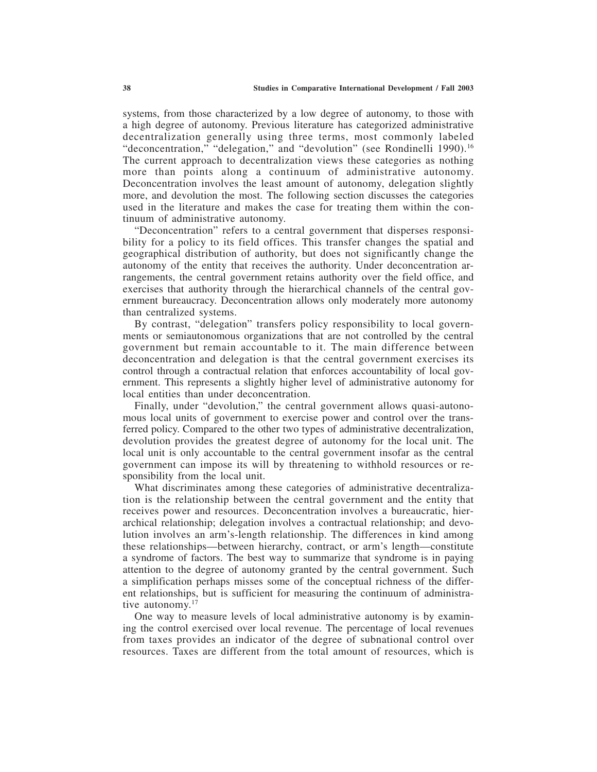systems, from those characterized by a low degree of autonomy, to those with a high degree of autonomy. Previous literature has categorized administrative decentralization generally using three terms, most commonly labeled "deconcentration," "delegation," and "devolution" (see Rondinelli 1990).<sup>16</sup> The current approach to decentralization views these categories as nothing more than points along a continuum of administrative autonomy. Deconcentration involves the least amount of autonomy, delegation slightly more, and devolution the most. The following section discusses the categories used in the literature and makes the case for treating them within the continuum of administrative autonomy.

"Deconcentration" refers to a central government that disperses responsibility for a policy to its field offices. This transfer changes the spatial and geographical distribution of authority, but does not significantly change the autonomy of the entity that receives the authority. Under deconcentration arrangements, the central government retains authority over the field office, and exercises that authority through the hierarchical channels of the central government bureaucracy. Deconcentration allows only moderately more autonomy than centralized systems.

By contrast, "delegation" transfers policy responsibility to local governments or semiautonomous organizations that are not controlled by the central government but remain accountable to it. The main difference between deconcentration and delegation is that the central government exercises its control through a contractual relation that enforces accountability of local government. This represents a slightly higher level of administrative autonomy for local entities than under deconcentration.

Finally, under "devolution," the central government allows quasi-autonomous local units of government to exercise power and control over the transferred policy. Compared to the other two types of administrative decentralization, devolution provides the greatest degree of autonomy for the local unit. The local unit is only accountable to the central government insofar as the central government can impose its will by threatening to withhold resources or responsibility from the local unit.

What discriminates among these categories of administrative decentralization is the relationship between the central government and the entity that receives power and resources. Deconcentration involves a bureaucratic, hierarchical relationship; delegation involves a contractual relationship; and devolution involves an arm's-length relationship. The differences in kind among these relationships—between hierarchy, contract, or arm's length—constitute a syndrome of factors. The best way to summarize that syndrome is in paying attention to the degree of autonomy granted by the central government. Such a simplification perhaps misses some of the conceptual richness of the different relationships, but is sufficient for measuring the continuum of administrative autonomy.<sup>17</sup>

One way to measure levels of local administrative autonomy is by examining the control exercised over local revenue. The percentage of local revenues from taxes provides an indicator of the degree of subnational control over resources. Taxes are different from the total amount of resources, which is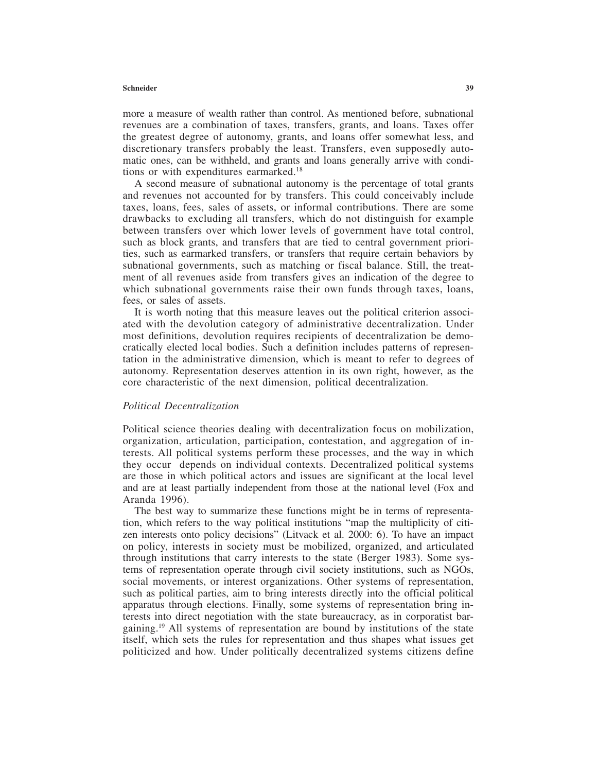more a measure of wealth rather than control. As mentioned before, subnational revenues are a combination of taxes, transfers, grants, and loans. Taxes offer the greatest degree of autonomy, grants, and loans offer somewhat less, and discretionary transfers probably the least. Transfers, even supposedly automatic ones, can be withheld, and grants and loans generally arrive with conditions or with expenditures earmarked.18

A second measure of subnational autonomy is the percentage of total grants and revenues not accounted for by transfers. This could conceivably include taxes, loans, fees, sales of assets, or informal contributions. There are some drawbacks to excluding all transfers, which do not distinguish for example between transfers over which lower levels of government have total control, such as block grants, and transfers that are tied to central government priorities, such as earmarked transfers, or transfers that require certain behaviors by subnational governments, such as matching or fiscal balance. Still, the treatment of all revenues aside from transfers gives an indication of the degree to which subnational governments raise their own funds through taxes, loans, fees, or sales of assets.

It is worth noting that this measure leaves out the political criterion associated with the devolution category of administrative decentralization. Under most definitions, devolution requires recipients of decentralization be democratically elected local bodies. Such a definition includes patterns of representation in the administrative dimension, which is meant to refer to degrees of autonomy. Representation deserves attention in its own right, however, as the core characteristic of the next dimension, political decentralization.

## *Political Decentralization*

Political science theories dealing with decentralization focus on mobilization, organization, articulation, participation, contestation, and aggregation of interests. All political systems perform these processes, and the way in which they occur depends on individual contexts. Decentralized political systems are those in which political actors and issues are significant at the local level and are at least partially independent from those at the national level (Fox and Aranda 1996).

The best way to summarize these functions might be in terms of representation, which refers to the way political institutions "map the multiplicity of citizen interests onto policy decisions" (Litvack et al. 2000: 6). To have an impact on policy, interests in society must be mobilized, organized, and articulated through institutions that carry interests to the state (Berger 1983). Some systems of representation operate through civil society institutions, such as NGOs, social movements, or interest organizations. Other systems of representation, such as political parties, aim to bring interests directly into the official political apparatus through elections. Finally, some systems of representation bring interests into direct negotiation with the state bureaucracy, as in corporatist bargaining.19 All systems of representation are bound by institutions of the state itself, which sets the rules for representation and thus shapes what issues get politicized and how. Under politically decentralized systems citizens define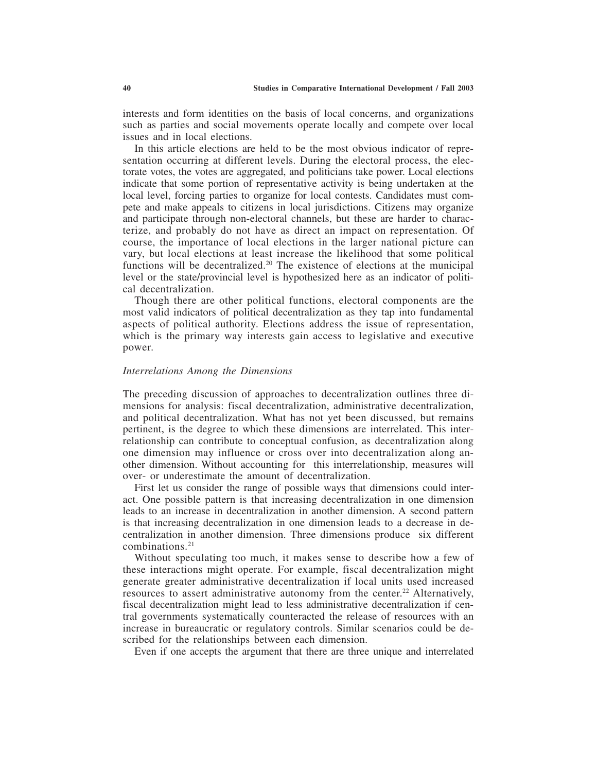interests and form identities on the basis of local concerns, and organizations such as parties and social movements operate locally and compete over local issues and in local elections.

In this article elections are held to be the most obvious indicator of representation occurring at different levels. During the electoral process, the electorate votes, the votes are aggregated, and politicians take power. Local elections indicate that some portion of representative activity is being undertaken at the local level, forcing parties to organize for local contests. Candidates must compete and make appeals to citizens in local jurisdictions. Citizens may organize and participate through non-electoral channels, but these are harder to characterize, and probably do not have as direct an impact on representation. Of course, the importance of local elections in the larger national picture can vary, but local elections at least increase the likelihood that some political functions will be decentralized.<sup>20</sup> The existence of elections at the municipal level or the state/provincial level is hypothesized here as an indicator of political decentralization.

Though there are other political functions, electoral components are the most valid indicators of political decentralization as they tap into fundamental aspects of political authority. Elections address the issue of representation, which is the primary way interests gain access to legislative and executive power.

# *Interrelations Among the Dimensions*

The preceding discussion of approaches to decentralization outlines three dimensions for analysis: fiscal decentralization, administrative decentralization, and political decentralization. What has not yet been discussed, but remains pertinent, is the degree to which these dimensions are interrelated. This interrelationship can contribute to conceptual confusion, as decentralization along one dimension may influence or cross over into decentralization along another dimension. Without accounting for this interrelationship, measures will over- or underestimate the amount of decentralization.

First let us consider the range of possible ways that dimensions could interact. One possible pattern is that increasing decentralization in one dimension leads to an increase in decentralization in another dimension. A second pattern is that increasing decentralization in one dimension leads to a decrease in decentralization in another dimension. Three dimensions produce six different combinations.21

Without speculating too much, it makes sense to describe how a few of these interactions might operate. For example, fiscal decentralization might generate greater administrative decentralization if local units used increased resources to assert administrative autonomy from the center.<sup>22</sup> Alternatively, fiscal decentralization might lead to less administrative decentralization if central governments systematically counteracted the release of resources with an increase in bureaucratic or regulatory controls. Similar scenarios could be described for the relationships between each dimension.

Even if one accepts the argument that there are three unique and interrelated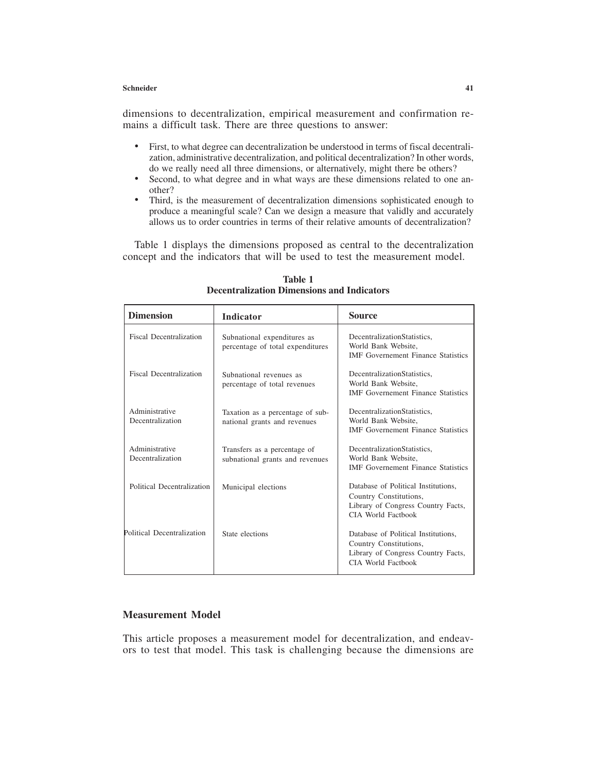dimensions to decentralization, empirical measurement and confirmation remains a difficult task. There are three questions to answer:

- First, to what degree can decentralization be understood in terms of fiscal decentralization, administrative decentralization, and political decentralization? In other words, do we really need all three dimensions, or alternatively, might there be others?
- Second, to what degree and in what ways are these dimensions related to one another?
- Third, is the measurement of decentralization dimensions sophisticated enough to produce a meaningful scale? Can we design a measure that validly and accurately allows us to order countries in terms of their relative amounts of decentralization?

Table 1 displays the dimensions proposed as central to the decentralization concept and the indicators that will be used to test the measurement model.

| <b>Dimension</b>                   | <b>Indicator</b>                                                 | Source                                                                                                                    |
|------------------------------------|------------------------------------------------------------------|---------------------------------------------------------------------------------------------------------------------------|
| <b>Fiscal Decentralization</b>     | Subnational expenditures as<br>percentage of total expenditures  | DecentralizationStatistics,<br>World Bank Website,<br><b>IMF</b> Governement Finance Statistics                           |
| <b>Fiscal Decentralization</b>     | Subnational revenues as<br>percentage of total revenues          | DecentralizationStatistics,<br>World Bank Website,<br><b>IMF</b> Governement Finance Statistics                           |
| Administrative<br>Decentralization | Taxation as a percentage of sub-<br>national grants and revenues | DecentralizationStatistics,<br>World Bank Website.<br><b>IMF</b> Governement Finance Statistics                           |
| Administrative<br>Decentralization | Transfers as a percentage of<br>subnational grants and revenues  | DecentralizationStatistics,<br>World Bank Website,<br><b>IMF</b> Governement Finance Statistics                           |
| Political Decentralization         | Municipal elections                                              | Database of Political Institutions,<br>Country Constitutions,<br>Library of Congress Country Facts,<br>CIA World Factbook |
| Political Decentralization         | State elections                                                  | Database of Political Institutions,<br>Country Constitutions,<br>Library of Congress Country Facts,<br>CIA World Factbook |

**Table 1 Decentralization Dimensions and Indicators**

## **Measurement Model**

This article proposes a measurement model for decentralization, and endeavors to test that model. This task is challenging because the dimensions are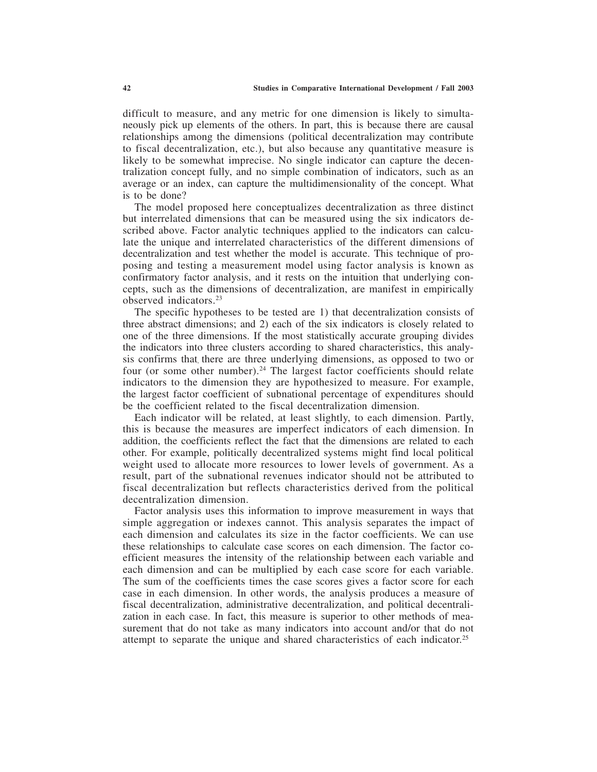difficult to measure, and any metric for one dimension is likely to simultaneously pick up elements of the others. In part, this is because there are causal relationships among the dimensions (political decentralization may contribute to fiscal decentralization, etc.), but also because any quantitative measure is likely to be somewhat imprecise. No single indicator can capture the decentralization concept fully, and no simple combination of indicators, such as an average or an index, can capture the multidimensionality of the concept. What is to be done?

The model proposed here conceptualizes decentralization as three distinct but interrelated dimensions that can be measured using the six indicators described above. Factor analytic techniques applied to the indicators can calculate the unique and interrelated characteristics of the different dimensions of decentralization and test whether the model is accurate. This technique of proposing and testing a measurement model using factor analysis is known as confirmatory factor analysis, and it rests on the intuition that underlying concepts, such as the dimensions of decentralization, are manifest in empirically observed indicators.23

The specific hypotheses to be tested are 1) that decentralization consists of three abstract dimensions; and 2) each of the six indicators is closely related to one of the three dimensions. If the most statistically accurate grouping divides the indicators into three clusters according to shared characteristics, this analysis confirms that there are three underlying dimensions, as opposed to two or four (or some other number).<sup>24</sup> The largest factor coefficients should relate indicators to the dimension they are hypothesized to measure. For example, the largest factor coefficient of subnational percentage of expenditures should be the coefficient related to the fiscal decentralization dimension.

Each indicator will be related, at least slightly, to each dimension. Partly, this is because the measures are imperfect indicators of each dimension. In addition, the coefficients reflect the fact that the dimensions are related to each other. For example, politically decentralized systems might find local political weight used to allocate more resources to lower levels of government. As a result, part of the subnational revenues indicator should not be attributed to fiscal decentralization but reflects characteristics derived from the political decentralization dimension.

Factor analysis uses this information to improve measurement in ways that simple aggregation or indexes cannot. This analysis separates the impact of each dimension and calculates its size in the factor coefficients. We can use these relationships to calculate case scores on each dimension. The factor coefficient measures the intensity of the relationship between each variable and each dimension and can be multiplied by each case score for each variable. The sum of the coefficients times the case scores gives a factor score for each case in each dimension. In other words, the analysis produces a measure of fiscal decentralization, administrative decentralization, and political decentralization in each case. In fact, this measure is superior to other methods of measurement that do not take as many indicators into account and/or that do not attempt to separate the unique and shared characteristics of each indicator.25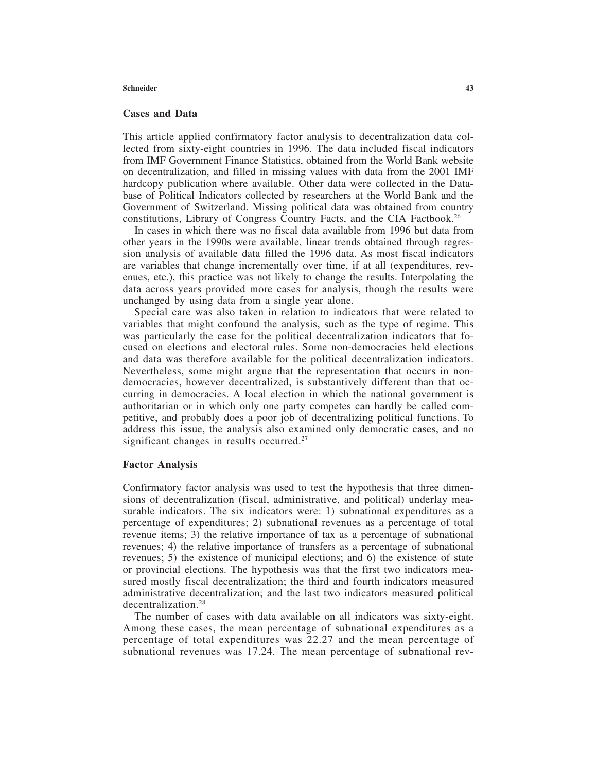## **Cases and Data**

This article applied confirmatory factor analysis to decentralization data collected from sixty-eight countries in 1996. The data included fiscal indicators from IMF Government Finance Statistics, obtained from the World Bank website on decentralization, and filled in missing values with data from the 2001 IMF hardcopy publication where available. Other data were collected in the Database of Political Indicators collected by researchers at the World Bank and the Government of Switzerland. Missing political data was obtained from country constitutions, Library of Congress Country Facts, and the CIA Factbook.<sup>26</sup>

In cases in which there was no fiscal data available from 1996 but data from other years in the 1990s were available, linear trends obtained through regression analysis of available data filled the 1996 data. As most fiscal indicators are variables that change incrementally over time, if at all (expenditures, revenues, etc.), this practice was not likely to change the results. Interpolating the data across years provided more cases for analysis, though the results were unchanged by using data from a single year alone.

Special care was also taken in relation to indicators that were related to variables that might confound the analysis, such as the type of regime. This was particularly the case for the political decentralization indicators that focused on elections and electoral rules. Some non-democracies held elections and data was therefore available for the political decentralization indicators. Nevertheless, some might argue that the representation that occurs in nondemocracies, however decentralized, is substantively different than that occurring in democracies. A local election in which the national government is authoritarian or in which only one party competes can hardly be called competitive, and probably does a poor job of decentralizing political functions. To address this issue, the analysis also examined only democratic cases, and no significant changes in results occurred.<sup>27</sup>

## **Factor Analysis**

Confirmatory factor analysis was used to test the hypothesis that three dimensions of decentralization (fiscal, administrative, and political) underlay measurable indicators. The six indicators were: 1) subnational expenditures as a percentage of expenditures; 2) subnational revenues as a percentage of total revenue items; 3) the relative importance of tax as a percentage of subnational revenues; 4) the relative importance of transfers as a percentage of subnational revenues; 5) the existence of municipal elections; and 6) the existence of state or provincial elections. The hypothesis was that the first two indicators measured mostly fiscal decentralization; the third and fourth indicators measured administrative decentralization; and the last two indicators measured political decentralization.28

The number of cases with data available on all indicators was sixty-eight. Among these cases, the mean percentage of subnational expenditures as a percentage of total expenditures was 22.27 and the mean percentage of subnational revenues was 17.24. The mean percentage of subnational rev-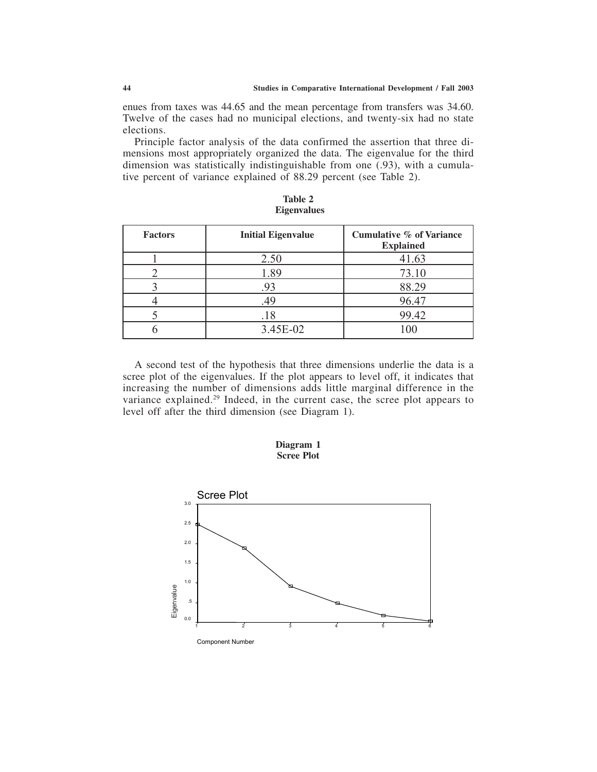enues from taxes was 44.65 and the mean percentage from transfers was 34.60. Twelve of the cases had no municipal elections, and twenty-six had no state elections.

Principle factor analysis of the data confirmed the assertion that three dimensions most appropriately organized the data. The eigenvalue for the third dimension was statistically indistinguishable from one (.93), with a cumulative percent of variance explained of 88.29 percent (see Table 2).

| <b>Factors</b> | <b>Initial Eigenvalue</b> | <b>Cumulative % of Variance</b><br><b>Explained</b> |
|----------------|---------------------------|-----------------------------------------------------|
|                | 2.50                      | 41.63                                               |
|                | 1.89                      | 73.10                                               |
|                |                           | 88.29                                               |
|                | 49                        | 96.47                                               |
|                | .18                       | 99.42                                               |
|                | 3.45E-02                  |                                                     |

| Table 2            |
|--------------------|
| <b>Eigenvalues</b> |

A second test of the hypothesis that three dimensions underlie the data is a scree plot of the eigenvalues. If the plot appears to level off, it indicates that increasing the number of dimensions adds little marginal difference in the variance explained.<sup>29</sup> Indeed, in the current case, the scree plot appears to level off after the third dimension (see Diagram 1).

## **Diagram 1 Scree Plot**

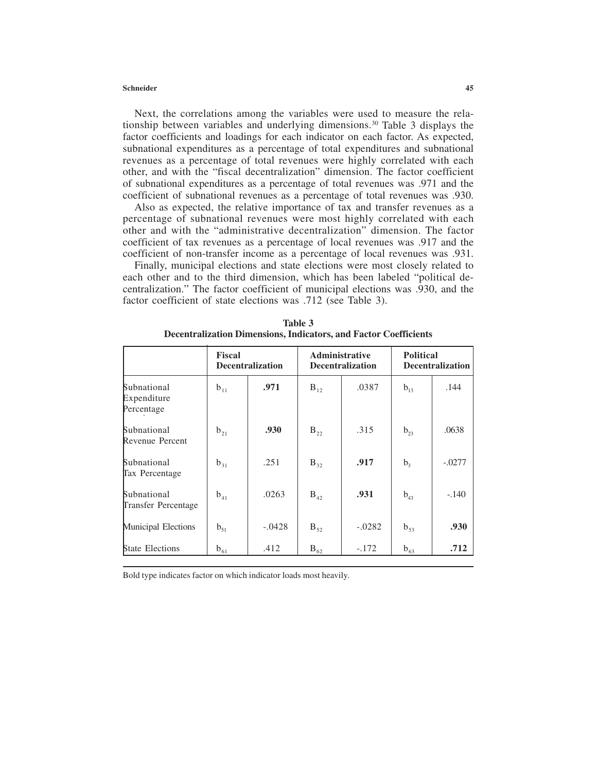Next, the correlations among the variables were used to measure the relationship between variables and underlying dimensions.30 Table 3 displays the factor coefficients and loadings for each indicator on each factor. As expected, subnational expenditures as a percentage of total expenditures and subnational revenues as a percentage of total revenues were highly correlated with each other, and with the "fiscal decentralization" dimension. The factor coefficient of subnational expenditures as a percentage of total revenues was .971 and the coefficient of subnational revenues as a percentage of total revenues was .930.

Also as expected, the relative importance of tax and transfer revenues as a percentage of subnational revenues were most highly correlated with each other and with the "administrative decentralization" dimension. The factor coefficient of tax revenues as a percentage of local revenues was .917 and the coefficient of non-transfer income as a percentage of local revenues was .931.

Finally, municipal elections and state elections were most closely related to each other and to the third dimension, which has been labeled "political decentralization." The factor coefficient of municipal elections was .930, and the factor coefficient of state elections was .712 (see Table 3).

|                                           | <b>Fiscal</b> | <b>Decentralization</b> | <b>Administrative</b> | <b>Decentralization</b> | <b>Political</b> | <b>Decentralization</b> |
|-------------------------------------------|---------------|-------------------------|-----------------------|-------------------------|------------------|-------------------------|
| Subnational<br>Expenditure<br>Percentage  | $b_{11}$      | .971                    | $B_{12}$              | .0387                   | $b_{13}$         | .144                    |
| Subnational<br>Revenue Percent            | $b_{21}$      | .930                    | $B_{22}$              | .315                    | $b_{23}$         | .0638                   |
| Subnational<br>Tax Percentage             | $b_{31}$      | .251                    | $B_{32}$              | .917                    | b <sub>3</sub>   | $-.0277$                |
| Subnational<br><b>Transfer Percentage</b> | $b_{41}$      | .0263                   | $B_{42}$              | .931                    | $b_{43}$         | $-.140$                 |
| Municipal Elections                       | $b_{51}$      | $-.0428$                | $B_{52}$              | $-.0282$                | $b_{53}$         | .930                    |
| <b>State Elections</b>                    | $b_{61}$      | .412                    | $B_{62}$              | $-.172$                 | $b_{63}$         | .712                    |

**Table 3 Decentralization Dimensions, Indicators, and Factor Coefficients**

Bold type indicates factor on which indicator loads most heavily.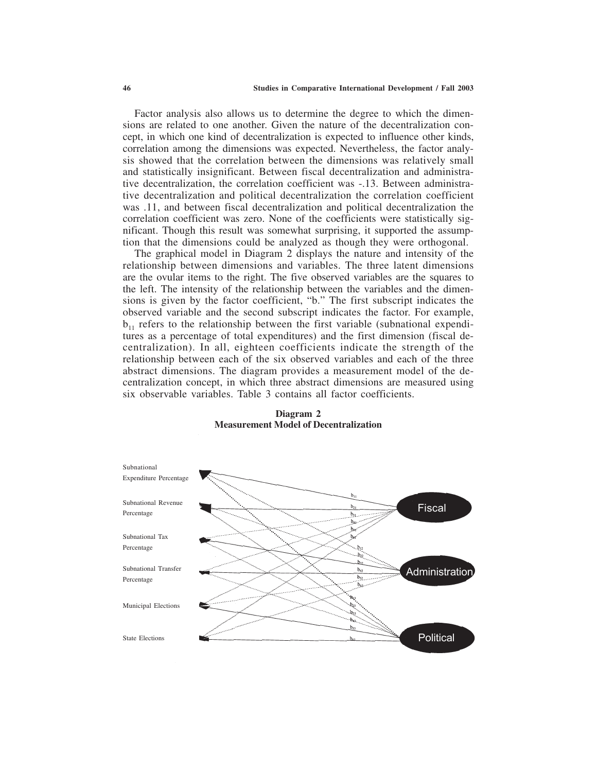Factor analysis also allows us to determine the degree to which the dimensions are related to one another. Given the nature of the decentralization concept, in which one kind of decentralization is expected to influence other kinds, correlation among the dimensions was expected. Nevertheless, the factor analysis showed that the correlation between the dimensions was relatively small and statistically insignificant. Between fiscal decentralization and administrative decentralization, the correlation coefficient was -.13. Between administrative decentralization and political decentralization the correlation coefficient was .11, and between fiscal decentralization and political decentralization the correlation coefficient was zero. None of the coefficients were statistically significant. Though this result was somewhat surprising, it supported the assumption that the dimensions could be analyzed as though they were orthogonal.

The graphical model in Diagram 2 displays the nature and intensity of the relationship between dimensions and variables. The three latent dimensions are the ovular items to the right. The five observed variables are the squares to the left. The intensity of the relationship between the variables and the dimensions is given by the factor coefficient, "b." The first subscript indicates the observed variable and the second subscript indicates the factor. For example,  $b_{11}$  refers to the relationship between the first variable (subnational expenditures as a percentage of total expenditures) and the first dimension (fiscal decentralization). In all, eighteen coefficients indicate the strength of the relationship between each of the six observed variables and each of the three abstract dimensions. The diagram provides a measurement model of the decentralization concept, in which three abstract dimensions are measured using six observable variables. Table 3 contains all factor coefficients.



**Diagram 2 Measurement Model of Decentralization**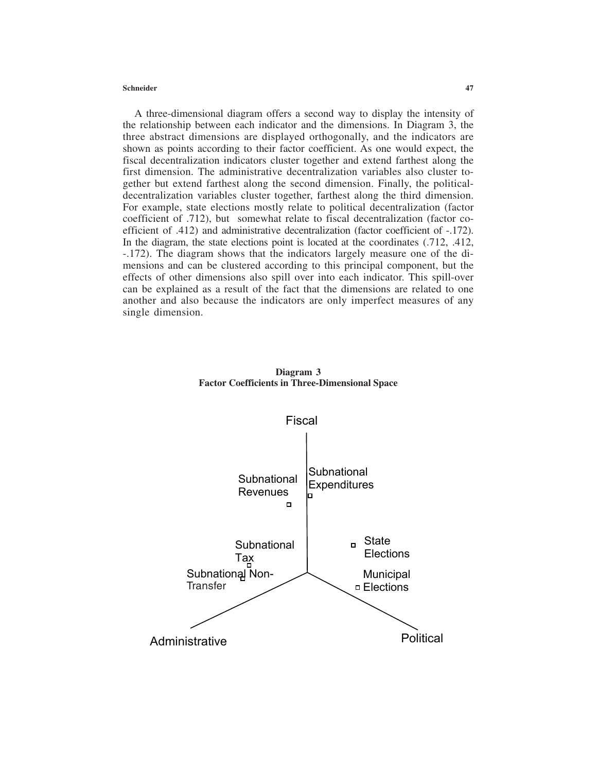single dimension.

A three-dimensional diagram offers a second way to display the intensity of the relationship between each indicator and the dimensions. In Diagram 3, the three abstract dimensions are displayed orthogonally, and the indicators are shown as points according to their factor coefficient. As one would expect, the fiscal decentralization indicators cluster together and extend farthest along the first dimension. The administrative decentralization variables also cluster together but extend farthest along the second dimension. Finally, the politicaldecentralization variables cluster together, farthest along the third dimension. For example, state elections mostly relate to political decentralization (factor coefficient of .712), but somewhat relate to fiscal decentralization (factor coefficient of .412) and administrative decentralization (factor coefficient of -.172). In the diagram, the state elections point is located at the coordinates (.712, .412, -.172). The diagram shows that the indicators largely measure one of the dimensions and can be clustered according to this principal component, but the effects of other dimensions also spill over into each indicator. This spill-over can be explained as a result of the fact that the dimensions are related to one another and also because the indicators are only imperfect measures of any



**Diagram 3 Factor Coefficients in Three-Dimensional Space**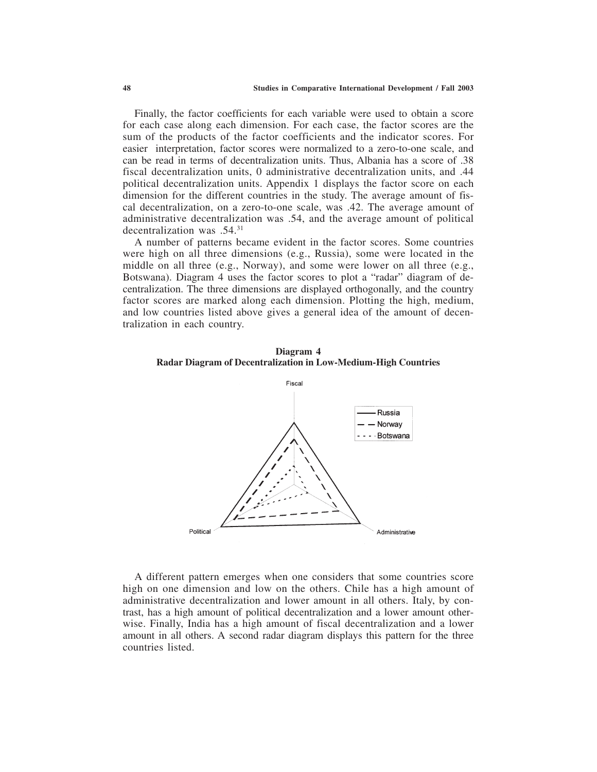Finally, the factor coefficients for each variable were used to obtain a score for each case along each dimension. For each case, the factor scores are the sum of the products of the factor coefficients and the indicator scores. For easier interpretation, factor scores were normalized to a zero-to-one scale, and can be read in terms of decentralization units. Thus, Albania has a score of .38 fiscal decentralization units, 0 administrative decentralization units, and .44 political decentralization units. Appendix 1 displays the factor score on each dimension for the different countries in the study. The average amount of fiscal decentralization, on a zero-to-one scale, was .42. The average amount of administrative decentralization was .54, and the average amount of political decentralization was .54.31

A number of patterns became evident in the factor scores. Some countries were high on all three dimensions (e.g., Russia), some were located in the middle on all three (e.g., Norway), and some were lower on all three (e.g., Botswana). Diagram 4 uses the factor scores to plot a "radar" diagram of decentralization. The three dimensions are displayed orthogonally, and the country factor scores are marked along each dimension. Plotting the high, medium, and low countries listed above gives a general idea of the amount of decentralization in each country.





A different pattern emerges when one considers that some countries score high on one dimension and low on the others. Chile has a high amount of administrative decentralization and lower amount in all others. Italy, by contrast, has a high amount of political decentralization and a lower amount otherwise. Finally, India has a high amount of fiscal decentralization and a lower amount in all others. A second radar diagram displays this pattern for the three countries listed.

Administrative

Political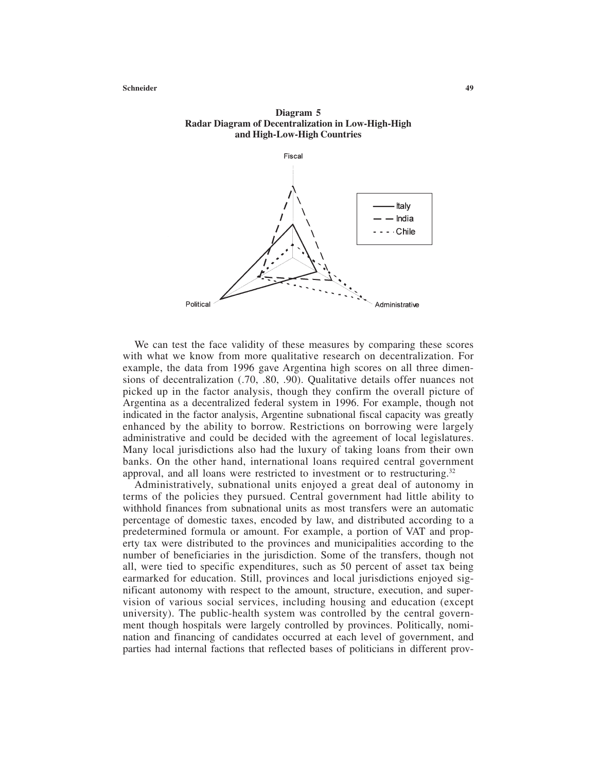



We can test the face validity of these measures by comparing these scores with what we know from more qualitative research on decentralization. For example, the data from 1996 gave Argentina high scores on all three dimensions of decentralization (.70, .80, .90). Qualitative details offer nuances not picked up in the factor analysis, though they confirm the overall picture of Argentina as a decentralized federal system in 1996. For example, though not indicated in the factor analysis, Argentine subnational fiscal capacity was greatly enhanced by the ability to borrow. Restrictions on borrowing were largely administrative and could be decided with the agreement of local legislatures. Many local jurisdictions also had the luxury of taking loans from their own banks. On the other hand, international loans required central government approval, and all loans were restricted to investment or to restructuring.<sup>32</sup>

Administratively, subnational units enjoyed a great deal of autonomy in terms of the policies they pursued. Central government had little ability to withhold finances from subnational units as most transfers were an automatic percentage of domestic taxes, encoded by law, and distributed according to a predetermined formula or amount. For example, a portion of VAT and property tax were distributed to the provinces and municipalities according to the number of beneficiaries in the jurisdiction. Some of the transfers, though not all, were tied to specific expenditures, such as 50 percent of asset tax being earmarked for education. Still, provinces and local jurisdictions enjoyed significant autonomy with respect to the amount, structure, execution, and supervision of various social services, including housing and education (except university). The public-health system was controlled by the central government though hospitals were largely controlled by provinces. Politically, nomination and financing of candidates occurred at each level of government, and parties had internal factions that reflected bases of politicians in different prov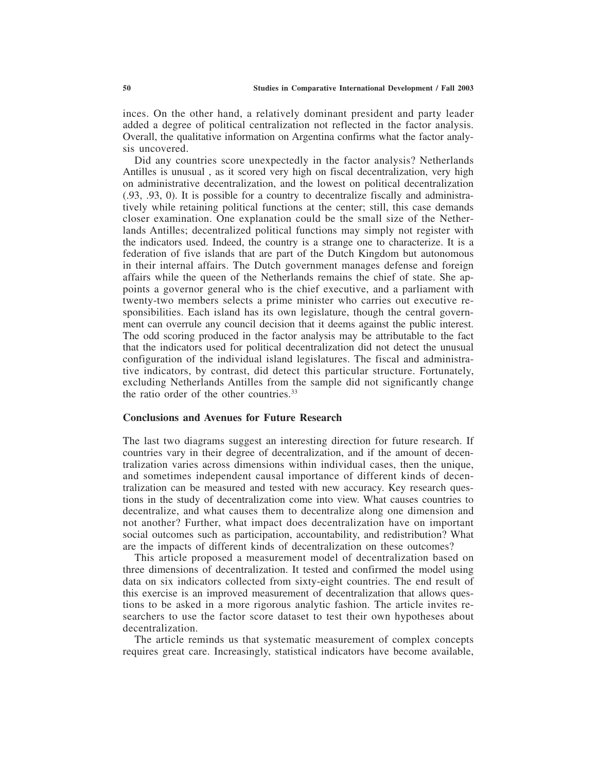inces. On the other hand, a relatively dominant president and party leader added a degree of political centralization not reflected in the factor analysis. Overall, the qualitative information on Argentina confirms what the factor analysis uncovered.

Did any countries score unexpectedly in the factor analysis? Netherlands Antilles is unusual , as it scored very high on fiscal decentralization, very high on administrative decentralization, and the lowest on political decentralization (.93, .93, 0). It is possible for a country to decentralize fiscally and administratively while retaining political functions at the center; still, this case demands closer examination. One explanation could be the small size of the Netherlands Antilles; decentralized political functions may simply not register with the indicators used. Indeed, the country is a strange one to characterize. It is a federation of five islands that are part of the Dutch Kingdom but autonomous in their internal affairs. The Dutch government manages defense and foreign affairs while the queen of the Netherlands remains the chief of state. She appoints a governor general who is the chief executive, and a parliament with twenty-two members selects a prime minister who carries out executive responsibilities. Each island has its own legislature, though the central government can overrule any council decision that it deems against the public interest. The odd scoring produced in the factor analysis may be attributable to the fact that the indicators used for political decentralization did not detect the unusual configuration of the individual island legislatures. The fiscal and administrative indicators, by contrast, did detect this particular structure. Fortunately, excluding Netherlands Antilles from the sample did not significantly change the ratio order of the other countries. $33$ 

## **Conclusions and Avenues for Future Research**

The last two diagrams suggest an interesting direction for future research. If countries vary in their degree of decentralization, and if the amount of decentralization varies across dimensions within individual cases, then the unique, and sometimes independent causal importance of different kinds of decentralization can be measured and tested with new accuracy. Key research questions in the study of decentralization come into view. What causes countries to decentralize, and what causes them to decentralize along one dimension and not another? Further, what impact does decentralization have on important social outcomes such as participation, accountability, and redistribution? What are the impacts of different kinds of decentralization on these outcomes?

This article proposed a measurement model of decentralization based on three dimensions of decentralization. It tested and confirmed the model using data on six indicators collected from sixty-eight countries. The end result of this exercise is an improved measurement of decentralization that allows questions to be asked in a more rigorous analytic fashion. The article invites researchers to use the factor score dataset to test their own hypotheses about decentralization.

The article reminds us that systematic measurement of complex concepts requires great care. Increasingly, statistical indicators have become available,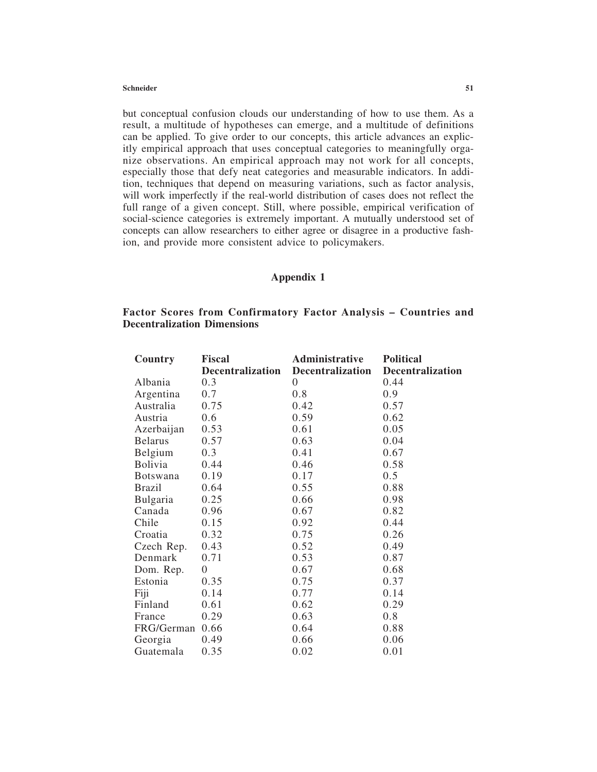but conceptual confusion clouds our understanding of how to use them. As a result, a multitude of hypotheses can emerge, and a multitude of definitions can be applied. To give order to our concepts, this article advances an explicitly empirical approach that uses conceptual categories to meaningfully organize observations. An empirical approach may not work for all concepts, especially those that defy neat categories and measurable indicators. In addition, techniques that depend on measuring variations, such as factor analysis, will work imperfectly if the real-world distribution of cases does not reflect the full range of a given concept. Still, where possible, empirical verification of social-science categories is extremely important. A mutually understood set of concepts can allow researchers to either agree or disagree in a productive fashion, and provide more consistent advice to policymakers.

## **Appendix 1**

# **Factor Scores from Confirmatory Factor Analysis – Countries and Decentralization Dimensions**

| Country         | Fiscal                  | <b>Administrative</b>   | <b>Political</b>        |
|-----------------|-------------------------|-------------------------|-------------------------|
|                 | <b>Decentralization</b> | <b>Decentralization</b> | <b>Decentralization</b> |
| Albania         | 0.3                     | $\Omega$                | 0.44                    |
| Argentina       | 0.7                     | 0.8                     | 0.9                     |
| Australia       | 0.75                    | 0.42                    | 0.57                    |
| Austria         | 0.6                     | 0.59                    | 0.62                    |
| Azerbaijan      | 0.53                    | 0.61                    | 0.05                    |
| <b>Belarus</b>  | 0.57                    | 0.63                    | 0.04                    |
| Belgium         | 0.3                     | 0.41                    | 0.67                    |
| <b>Bolivia</b>  | 0.44                    | 0.46                    | 0.58                    |
| <b>Botswana</b> | 0.19                    | 0.17                    | 0.5                     |
| <b>Brazil</b>   | 0.64                    | 0.55                    | 0.88                    |
| Bulgaria        | 0.25                    | 0.66                    | 0.98                    |
| Canada          | 0.96                    | 0.67                    | 0.82                    |
| Chile           | 0.15                    | 0.92                    | 0.44                    |
| Croatia         | 0.32                    | 0.75                    | 0.26                    |
| Czech Rep.      | 0.43                    | 0.52                    | 0.49                    |
| Denmark         | 0.71                    | 0.53                    | 0.87                    |
| Dom. Rep.       | $\theta$                | 0.67                    | 0.68                    |
| Estonia         | 0.35                    | 0.75                    | 0.37                    |
| Fiji            | 0.14                    | 0.77                    | 0.14                    |
| Finland         | 0.61                    | 0.62                    | 0.29                    |
| France          | 0.29                    | 0.63                    | 0.8                     |
| FRG/German      | 0.66                    | 0.64                    | 0.88                    |
| Georgia         | 0.49                    | 0.66                    | 0.06                    |
| Guatemala       | 0.35                    | 0.02                    | 0.01                    |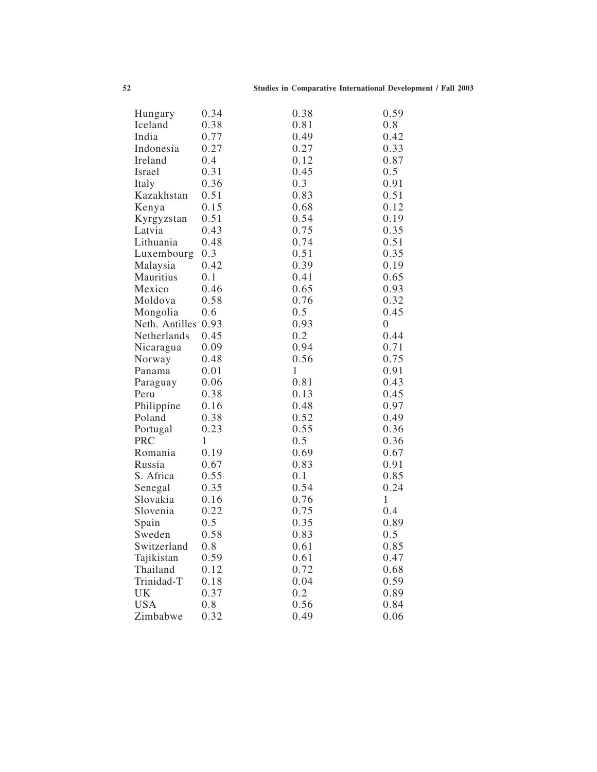| Hungary        | 0.34 | 0.38 | 0.59 |
|----------------|------|------|------|
| Iceland        | 0.38 | 0.81 | 0.8  |
| India          | 0.77 | 0.49 | 0.42 |
| Indonesia      | 0.27 | 0.27 | 0.33 |
| Ireland        | 0.4  | 0.12 | 0.87 |
| Israel         | 0.31 | 0.45 | 0.5  |
| Italy          | 0.36 | 0.3  | 0.91 |
| Kazakhstan     | 0.51 | 0.83 | 0.51 |
| Kenya          | 0.15 | 0.68 | 0.12 |
| Kyrgyzstan     | 0.51 | 0.54 | 0.19 |
| Latvia         | 0.43 | 0.75 | 0.35 |
| Lithuania      | 0.48 | 0.74 | 0.51 |
| Luxembourg     | 0.3  | 0.51 | 0.35 |
| Malaysia       | 0.42 | 0.39 | 0.19 |
| Mauritius      | 0.1  | 0.41 | 0.65 |
| Mexico         | 0.46 | 0.65 | 0.93 |
| Moldova        | 0.58 | 0.76 | 0.32 |
| Mongolia       | 0.6  | 0.5  | 0.45 |
| Neth. Antilles | 0.93 | 0.93 | 0    |
| Netherlands    | 0.45 | 0.2  | 0.44 |
| Nicaragua      | 0.09 | 0.94 | 0.71 |
| Norway         | 0.48 | 0.56 | 0.75 |
| Panama         | 0.01 | 1    | 0.91 |
| Paraguay       | 0.06 | 0.81 | 0.43 |
| Peru           | 0.38 | 0.13 | 0.45 |
| Philippine     | 0.16 | 0.48 | 0.97 |
| Poland         | 0.38 | 0.52 | 0.49 |
| Portugal       | 0.23 | 0.55 | 0.36 |
| <b>PRC</b>     | 1    | 0.5  | 0.36 |
| Romania        | 0.19 | 0.69 | 0.67 |
| Russia         | 0.67 | 0.83 | 0.91 |
| S. Africa      | 0.55 | 0.1  | 0.85 |
| Senegal        | 0.35 | 0.54 | 0.24 |
| Slovakia       | 0.16 | 0.76 | 1    |
| Slovenia       | 0.22 | 0.75 | 0.4  |
| Spain          | 0.5  | 0.35 | 0.89 |
| Sweden         | 0.58 | 0.83 | 0.5  |
| Switzerland    | 0.8  | 0.61 | 0.85 |
| Tajikistan     | 0.59 | 0.61 | 0.47 |
| Thailand       | 0.12 | 0.72 | 0.68 |
| Trinidad-T     | 0.18 | 0.04 | 0.59 |
| UK             | 0.37 | 0.2  | 0.89 |
| <b>USA</b>     | 0.8  | 0.56 | 0.84 |
| Zimbabwe       | 0.32 | 0.49 | 0.06 |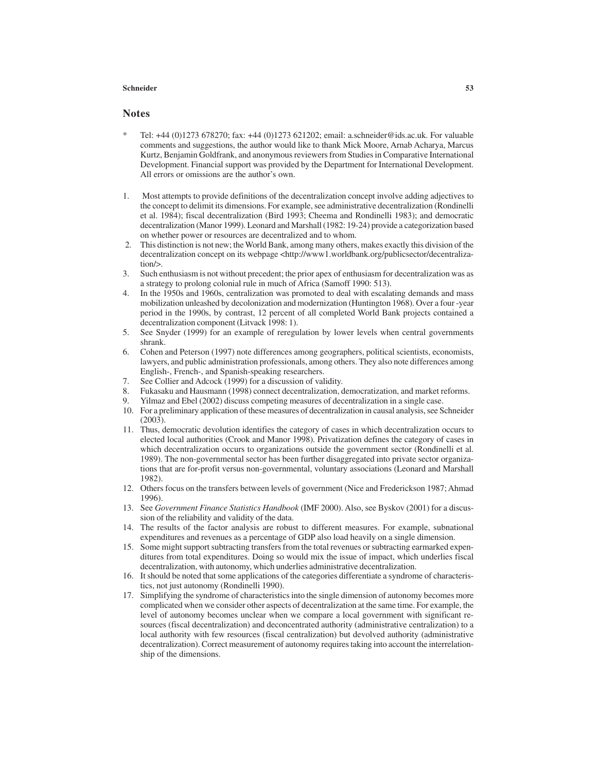## **Notes**

- \* Tel: +44 (0)1273 678270; fax: +44 (0)1273 621202; email: a.schneider@ids.ac.uk. For valuable comments and suggestions, the author would like to thank Mick Moore, Arnab Acharya, Marcus Kurtz, Benjamin Goldfrank, and anonymous reviewers from Studies in Comparative International Development. Financial support was provided by the Department for International Development. All errors or omissions are the author's own.
- 1. Most attempts to provide definitions of the decentralization concept involve adding adjectives to the concept to delimit its dimensions. For example, see administrative decentralization (Rondinelli et al. 1984); fiscal decentralization (Bird 1993; Cheema and Rondinelli 1983); and democratic decentralization (Manor 1999). Leonard and Marshall (1982: 19-24) provide a categorization based on whether power or resources are decentralized and to whom.
- 2. This distinction is not new; the World Bank, among many others, makes exactly this division of the decentralization concept on its webpage <http://www1.worldbank.org/publicsector/decentralization/>.
- 3. Such enthusiasm is not without precedent; the prior apex of enthusiasm for decentralization was as a strategy to prolong colonial rule in much of Africa (Samoff 1990: 513).
- 4. In the 1950s and 1960s, centralization was promoted to deal with escalating demands and mass mobilization unleashed by decolonization and modernization (Huntington 1968). Over a four -year period in the 1990s, by contrast, 12 percent of all completed World Bank projects contained a decentralization component (Litvack 1998: 1).
- 5. See Snyder (1999) for an example of reregulation by lower levels when central governments shrank.
- 6. Cohen and Peterson (1997) note differences among geographers, political scientists, economists, lawyers, and public administration professionals, among others. They also note differences among English-, French-, and Spanish-speaking researchers.
- 7. See Collier and Adcock (1999) for a discussion of validity.
- 8. Fukasaku and Hausmann (1998) connect decentralization, democratization, and market reforms.
- 9. Yilmaz and Ebel (2002) discuss competing measures of decentralization in a single case.
- 10. For a preliminary application of these measures of decentralization in causal analysis, see Schneider (2003).
- 11. Thus, democratic devolution identifies the category of cases in which decentralization occurs to elected local authorities (Crook and Manor 1998). Privatization defines the category of cases in which decentralization occurs to organizations outside the government sector (Rondinelli et al. 1989). The non-governmental sector has been further disaggregated into private sector organizations that are for-profit versus non-governmental, voluntary associations (Leonard and Marshall 1982).
- 12. Others focus on the transfers between levels of government (Nice and Frederickson 1987; Ahmad 1996).
- 13. See *Government Finance Statistics Handbook* (IMF 2000). Also, see Byskov (2001) for a discussion of the reliability and validity of the data.
- 14. The results of the factor analysis are robust to different measures. For example, subnational expenditures and revenues as a percentage of GDP also load heavily on a single dimension.
- 15. Some might support subtracting transfers from the total revenues or subtracting earmarked expenditures from total expenditures. Doing so would mix the issue of impact, which underlies fiscal decentralization, with autonomy, which underlies administrative decentralization.
- 16. It should be noted that some applications of the categories differentiate a syndrome of characteristics, not just autonomy (Rondinelli 1990).
- 17. Simplifying the syndrome of characteristics into the single dimension of autonomy becomes more complicated when we consider other aspects of decentralization at the same time. For example, the level of autonomy becomes unclear when we compare a local government with significant resources (fiscal decentralization) and deconcentrated authority (administrative centralization) to a local authority with few resources (fiscal centralization) but devolved authority (administrative decentralization). Correct measurement of autonomy requires taking into account the interrelationship of the dimensions.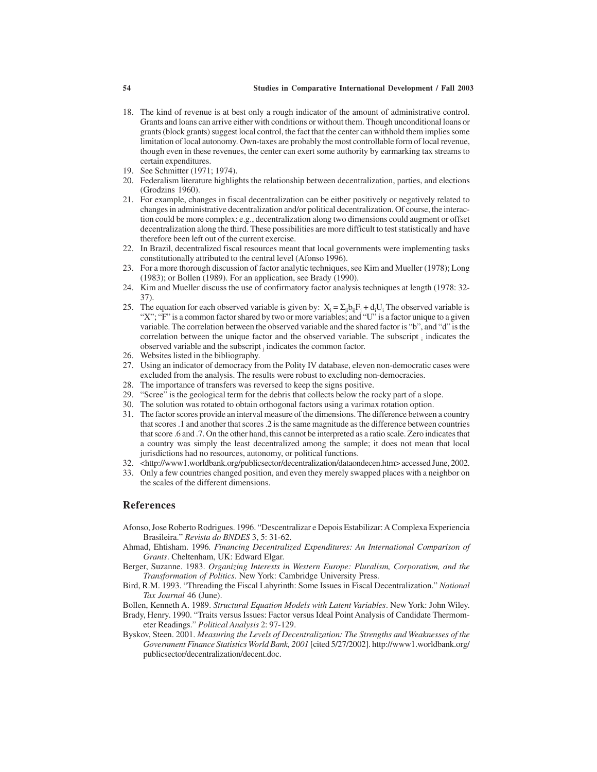#### **54 Studies in Comparative International Development / Fall 2003**

- 18. The kind of revenue is at best only a rough indicator of the amount of administrative control. Grants and loans can arrive either with conditions or without them. Though unconditional loans or grants (block grants) suggest local control, the fact that the center can withhold them implies some limitation of local autonomy. Own-taxes are probably the most controllable form of local revenue, though even in these revenues, the center can exert some authority by earmarking tax streams to certain expenditures.
- 19. See Schmitter (1971; 1974).
- 20. Federalism literature highlights the relationship between decentralization, parties, and elections (Grodzins 1960).
- 21. For example, changes in fiscal decentralization can be either positively or negatively related to changes in administrative decentralization and/or political decentralization. Of course, the interaction could be more complex: e.g., decentralization along two dimensions could augment or offset decentralization along the third. These possibilities are more difficult to test statistically and have therefore been left out of the current exercise.
- 22. In Brazil, decentralized fiscal resources meant that local governments were implementing tasks constitutionally attributed to the central level (Afonso 1996).
- 23. For a more thorough discussion of factor analytic techniques, see Kim and Mueller (1978); Long (1983); or Bollen (1989). For an application, see Brady (1990).
- 24. Kim and Mueller discuss the use of confirmatory factor analysis techniques at length (1978: 32- 37).
- 25. The equation for each observed variable is given by:  $X_i = \sum_j b_{ij} F_j + d_i U_i$  The observed variable is "X"; "F" is a common factor shared by two or more variables; and "U" is a factor unique to a given variable. The correlation between the observed variable and the shared factor is "b", and "d" is the correlation between the unique factor and the observed variable. The subscript indicates the observed variable and the subscript j indicates the common factor.
- 26. Websites listed in the bibliography.
- 27. Using an indicator of democracy from the Polity IV database, eleven non-democratic cases were excluded from the analysis. The results were robust to excluding non-democracies.
- 28. The importance of transfers was reversed to keep the signs positive.
- 29. "Scree" is the geological term for the debris that collects below the rocky part of a slope.
- 30. The solution was rotated to obtain orthogonal factors using a varimax rotation option.
- 31. The factor scores provide an interval measure of the dimensions. The difference between a country that scores .1 and another that scores .2 is the same magnitude as the difference between countries that score .6 and .7. On the other hand, this cannot be interpreted as a ratio scale. Zero indicates that a country was simply the least decentralized among the sample; it does not mean that local jurisdictions had no resources, autonomy, or political functions.
- 32. <http://www1.worldbank.org/publicsector/decentralization/dataondecen.htm> accessed June, 2002.
- 33. Only a few countries changed position, and even they merely swapped places with a neighbor on the scales of the different dimensions.

# **References**

- Afonso, Jose Roberto Rodrigues. 1996. "Descentralizar e Depois Estabilizar: A Complexa Experiencia Brasileira." *Revista do BNDES* 3, 5: 31-62.
- Ahmad, Ehtisham. 1996*. Financing Decentralized Expenditures: An International Comparison of Grants*. Cheltenham, UK: Edward Elgar.
- Berger, Suzanne. 1983. *Organizing Interests in Western Europe: Pluralism, Corporatism, and the Transformation of Politics*. New York: Cambridge University Press.
- Bird, R.M. 1993. "Threading the Fiscal Labyrinth: Some Issues in Fiscal Decentralization." *National Tax Journal* 46 (June).

Bollen, Kenneth A. 1989. *Structural Equation Models with Latent Variables*. New York: John Wiley.

- Brady, Henry. 1990. "Traits versus Issues: Factor versus Ideal Point Analysis of Candidate Thermometer Readings." *Political Analysis* 2: 97-129.
- Byskov, Steen. 2001. *Measuring the Levels of Decentralization: The Strengths and Weaknesses of the Government Finance Statistics World Bank, 2001* [cited 5/27/2002]. http://www1.worldbank.org/ publicsector/decentralization/decent.doc.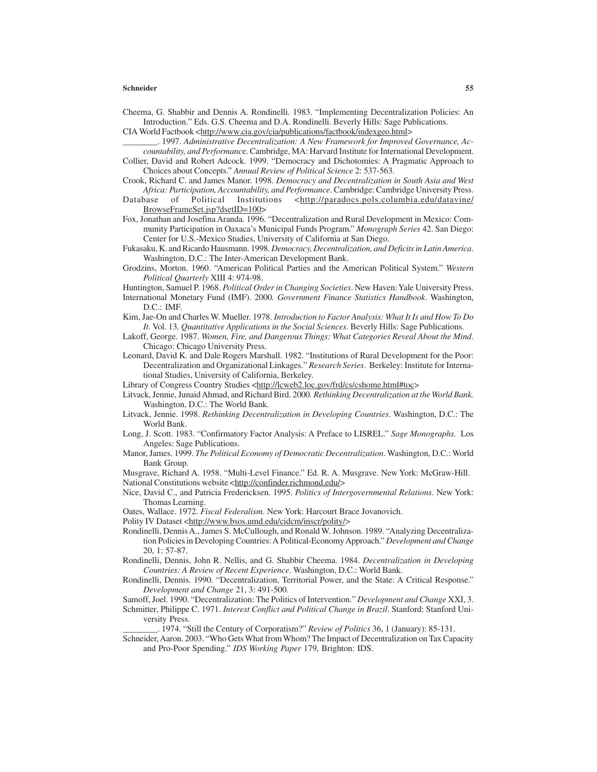Cheema, G. Shabbir and Dennis A. Rondinelli. 1983. "Implementing Decentralization Policies: An Introduction." Eds. G.S. Cheema and D.A. Rondinelli. Beverly Hills: Sage Publications.

CIA World Factbook <http://www.cia.gov/cia/publications/factbook/indexgeo.html>

\_\_\_\_\_\_\_\_. 1997. *Administrative Decentralization: A New Framework for Improved Governance, Ac-*

- *countability, and Performanc*e. Cambridge, MA: Harvard Institute for International Development. Collier, David and Robert Adcock. 1999. "Democracy and Dichotomies: A Pragmatic Approach to Choices about Concepts." *Annual Review of Political Science* 2: 537-563.
- Crook, Richard C. and James Manor. 1998. *Democracy and Decentralization in South Asia and West Africa: Participation, Accountability, and Performance*. Cambridge: Cambridge University Press.
- Database of Political Institutions <http://paradocs.pols.columbia.edu/datavine/ BrowseFrameSet.jsp?dsetID=100>
- Fox, Jonathan and Josefina Aranda. 1996. "Decentralization and Rural Development in Mexico: Community Participation in Oaxaca's Municipal Funds Program." *Monograph Series* 42. San Diego: Center for U.S.-Mexico Studies, University of California at San Diego.
- Fukasaku, K. and Ricardo Hausmann. 1998. *Democracy, Decentralization, and Deficits in Latin America*. Washington, D.C.: The Inter-American Development Bank.
- Grodzins, Morton. 1960. "American Political Parties and the American Political System." *Western Political Quarterly* XIII 4: 974-98.
- Huntington, Samuel P. 1968. *Political Order in Changing Societies*. New Haven: Yale University Press.
- International Monetary Fund (IMF). 2000. *Government Finance Statistics Handbook*. Washington, D.C.: IMF.
- Kim, Jae-On and Charles W. Mueller. 1978. *Introduction to Factor Analysis: What It Is and How To Do It.* Vol. 13*, Quantitative Applications in the Social Sciences*. Beverly Hills: Sage Publications.
- Lakoff, George. 1987. *Women, Fire, and Dangerous Things: What Categories Reveal About the Mind*. Chicago: Chicago University Press.
- Leonard, David K. and Dale Rogers Marshall. 1982. "Institutions of Rural Development for the Poor: Decentralization and Organizational Linkages." *Research Series*. Berkeley: Institute for International Studies, University of California, Berkeley.
- Library of Congress Country Studies <http://lcweb2.loc.gov/frd/cs/cshome.html#toc>
- Litvack, Jennie, Junaid Ahmad, and Richard Bird. 2000*. Rethinking Decentralization at the World Bank.* Washington, D.C.: The World Bank.
- Litvack, Jennie. 1998. *Rethinking Decentralization in Developing Countries*. Washington, D.C.: The World Bank.
- Long, J. Scott. 1983. "Confirmatory Factor Analysis: A Preface to LISREL." *Sage Monographs.* Los Angeles: Sage Publications.
- Manor, James. 1999. *The Political Economy of Democratic Decentralization*. Washington, D.C.: World Bank Group.
- Musgrave, Richard A. 1958. "Multi-Level Finance." Ed. R. A. Musgrave. New York: McGraw-Hill. National Constitutions website <http://confinder.richmond.edu/>
- Nice, David C., and Patricia Fredericksen. 1995. *Politics of Intergovernmental Relations*. New York: Thomas Learning.
- Oates, Wallace. 1972. *Fiscal Federalism*. New York: Harcourt Brace Jovanovich.
- Polity IV Dataset <http://www.bsos.umd.edu/cidcm/inscr/polity/>
- Rondinelli, Dennis A., James S. McCullough, and Ronald W. Johnson. 1989. "Analyzing Decentralization Policies in Developing Countries: A Political-Economy Approach." *Development and Change* 20, 1: 57-87.
- Rondinelli, Dennis, John R. Nellis, and G. Shabbir Cheema. 1984. *Decentralization in Developing Countries: A Review of Recent Experience*. Washington, D.C.: World Bank.
- Rondinelli, Dennis. 1990. "Decentralization, Territorial Power, and the State: A Critical Response." *Development and Change* 21, 3: 491-500.
- Samoff, Joel. 1990. "Decentralization: The Politics of Intervention." *Development and Change* XXI, 3.
- Schmitter, Philippe C. 1971. *Interest Conflict and Political Change in Brazil*. Stanford: Stanford University Press.
	- \_\_\_\_\_\_\_\_. 1974. "Still the Century of Corporatism?" *Review of Politics* 36, 1 (January): 85-131.
- Schneider, Aaron. 2003. "Who Gets What from Whom? The Impact of Decentralization on Tax Capacity and Pro-Poor Spending." *IDS Working Paper* 179, Brighton: IDS.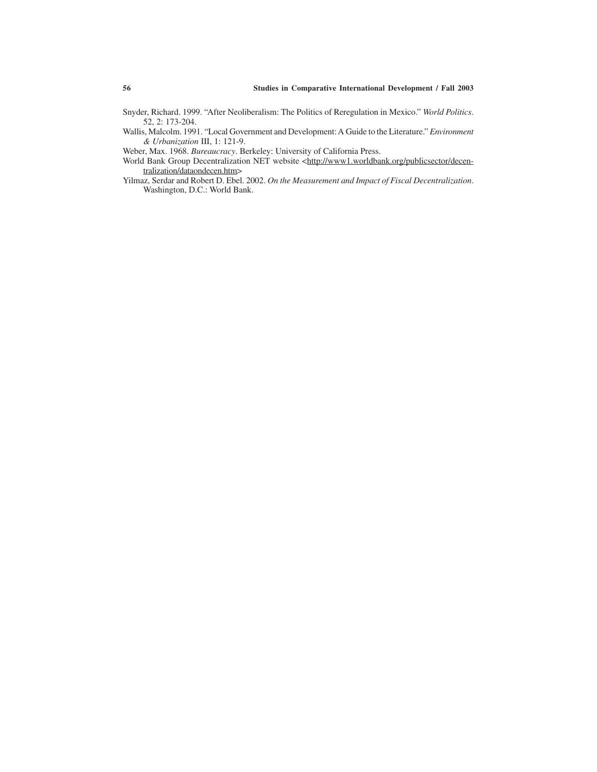- Snyder, Richard. 1999. "After Neoliberalism: The Politics of Reregulation in Mexico." *World Politics*. 52, 2: 173-204.
- Wallis, Malcolm. 1991. "Local Government and Development: A Guide to the Literature." *Environment & Urbanization* III, 1: 121-9.

Weber, Max. 1968. *Bureaucracy*. Berkeley: University of California Press.

- World Bank Group Decentralization NET website <http://www1.worldbank.org/publicsector/decentralization/dataondecen.htm>
- Yilmaz, Serdar and Robert D. Ebel. 2002. *On the Measurement and Impact of Fiscal Decentralization*. Washington, D.C.: World Bank.